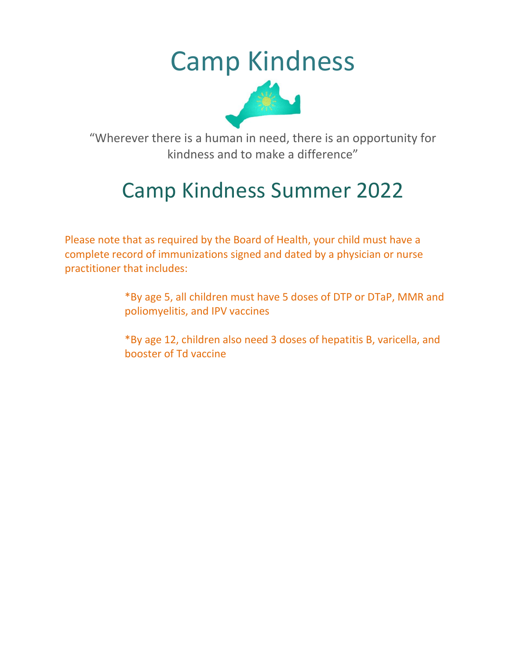# Camp Kindness



"Wherever there is a human in need, there is an opportunity for kindness and to make a difference"

## Camp Kindness Summer 2022

Please note that as required by the Board of Health, your child must have a complete record of immunizations signed and dated by a physician or nurse practitioner that includes:

> \*By age 5, all children must have 5 doses of DTP or DTaP, MMR and poliomyelitis, and IPV vaccines

\*By age 12, children also need 3 doses of hepatitis B, varicella, and booster of Td vaccine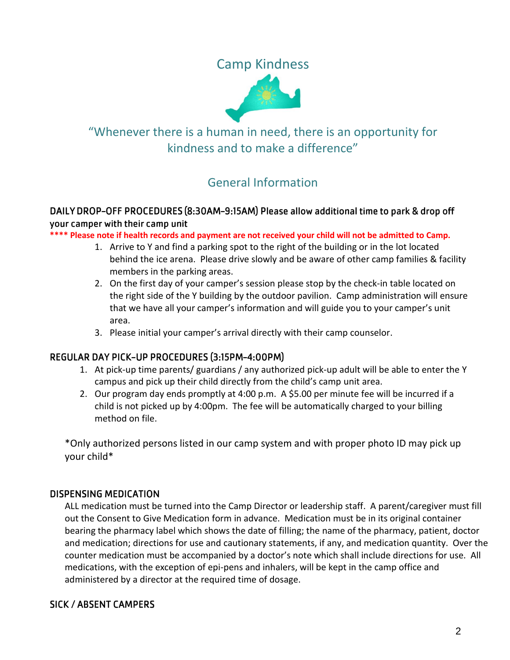Camp Kindness



## "Whenever there is a human in need, there is an opportunity for kindness and to make a difference"

## General Information

#### DAILY DROP-OFF PROCEDURES (8:30AM-9:15AM) Please allow additional time to park & drop off your camper with their camp unit

**\*\*\*\* Please note if health records and payment are not received your child will not be admitted to Camp.**

- 1. Arrive to Y and find a parking spot to the right of the building or in the lot located behind the ice arena. Please drive slowly and be aware of other camp families & facility members in the parking areas.
- 2. On the first day of your camper's session please stop by the check-in table located on the right side of the Y building by the outdoor pavilion. Camp administration will ensure that we have all your camper's information and will guide you to your camper's unit area.
- 3. Please initial your camper's arrival directly with their camp counselor.

#### REGULAR DAY PICK-UP PROCEDURES (3:15PM-4:00PM)

- 1. At pick-up time parents/ guardians / any authorized pick-up adult will be able to enter the Y campus and pick up their child directly from the child's camp unit area.
- 2. Our program day ends promptly at 4:00 p.m. A \$5.00 per minute fee will be incurred if a child is not picked up by 4:00pm. The fee will be automatically charged to your billing method on file.

\*Only authorized persons listed in our camp system and with proper photo ID may pick up your child\*

#### **DISPENSING MEDICATION**

ALL medication must be turned into the Camp Director or leadership staff. A parent/caregiver must fill out the Consent to Give Medication form in advance. Medication must be in its original container bearing the pharmacy label which shows the date of filling; the name of the pharmacy, patient, doctor and medication; directions for use and cautionary statements, if any, and medication quantity. Over the counter medication must be accompanied by a doctor's note which shall include directions for use. All medications, with the exception of epi-pens and inhalers, will be kept in the camp office and administered by a director at the required time of dosage.

#### **SICK / ABSENT CAMPERS**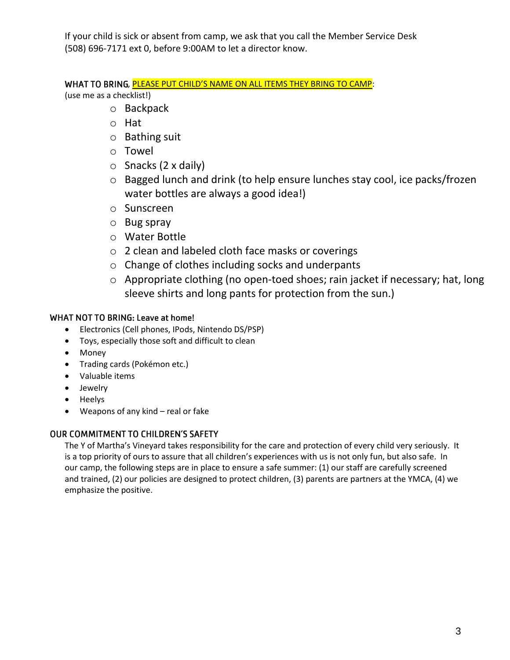If your child is sick or absent from camp, we ask that you call the Member Service Desk (508) 696-7171 ext 0, before 9:00AM to let a director know.

WHAT TO BRING, PLEASE PUT CHILD'S NAME ON ALL ITEMS THEY BRING TO CAMP: (use me as a checklist!)

- o Backpack
- o Hat
- o Bathing suit
- o Towel
- $\circ$  Snacks (2 x daily)
- o Bagged lunch and drink (to help ensure lunches stay cool, ice packs/frozen water bottles are always a good idea!)
- o Sunscreen
- o Bug spray
- o Water Bottle
- o 2 clean and labeled cloth face masks or coverings
- o Change of clothes including socks and underpants
- o Appropriate clothing (no open-toed shoes; rain jacket if necessary; hat, long sleeve shirts and long pants for protection from the sun.)

#### **WHAT NOT TO BRING: Leave at home!**

- Electronics (Cell phones, IPods, Nintendo DS/PSP)
- Toys, especially those soft and difficult to clean
- Money
- Trading cards (Pokémon etc.)
- Valuable items
- Jewelry
- Heelys
- Weapons of any kind real or fake

#### **OUR COMMITMENT TO CHILDREN'S SAFETY**

The Y of Martha's Vineyard takes responsibility for the care and protection of every child very seriously. It is a top priority of ours to assure that all children's experiences with us is not only fun, but also safe. In our camp, the following steps are in place to ensure a safe summer: (1) our staff are carefully screened and trained, (2) our policies are designed to protect children, (3) parents are partners at the YMCA, (4) we emphasize the positive.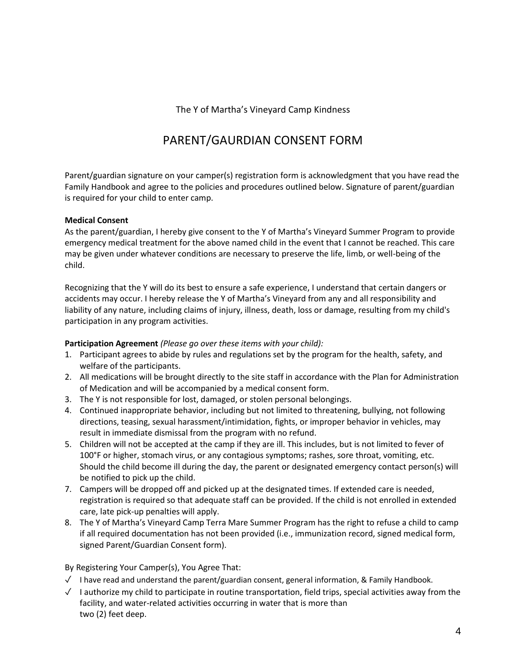#### The Y of Martha's Vineyard Camp Kindness

### PARENT/GAURDIAN CONSENT FORM

Parent/guardian signature on your camper(s) registration form is acknowledgment that you have read the Family Handbook and agree to the policies and procedures outlined below. Signature of parent/guardian is required for your child to enter camp.

#### **Medical Consent**

As the parent/guardian, I hereby give consent to the Y of Martha's Vineyard Summer Program to provide emergency medical treatment for the above named child in the event that I cannot be reached. This care may be given under whatever conditions are necessary to preserve the life, limb, or well-being of the child.

Recognizing that the Y will do its best to ensure a safe experience, I understand that certain dangers or accidents may occur. I hereby release the Y of Martha's Vineyard from any and all responsibility and liability of any nature, including claims of injury, illness, death, loss or damage, resulting from my child's participation in any program activities.

**Participation Agreement** *(Please go over these items with your child):*

- 1. Participant agrees to abide by rules and regulations set by the program for the health, safety, and welfare of the participants.
- 2. All medications will be brought directly to the site staff in accordance with the Plan for Administration of Medication and will be accompanied by a medical consent form.
- 3. The Y is not responsible for lost, damaged, or stolen personal belongings.
- 4. Continued inappropriate behavior, including but not limited to threatening, bullying, not following directions, teasing, sexual harassment/intimidation, fights, or improper behavior in vehicles, may result in immediate dismissal from the program with no refund.
- 5. Children will not be accepted at the camp if they are ill. This includes, but is not limited to fever of 100°F or higher, stomach virus, or any contagious symptoms; rashes, sore throat, vomiting, etc. Should the child become ill during the day, the parent or designated emergency contact person(s) will be notified to pick up the child.
- 7. Campers will be dropped off and picked up at the designated times. If extended care is needed, registration is required so that adequate staff can be provided. If the child is not enrolled in extended care, late pick-up penalties will apply.
- 8. The Y of Martha's Vineyard Camp Terra Mare Summer Program has the right to refuse a child to camp if all required documentation has not been provided (i.e., immunization record, signed medical form, signed Parent/Guardian Consent form).

By Registering Your Camper(s), You Agree That:

- $\sqrt{ }$  I have read and understand the parent/guardian consent, general information, & Family Handbook.
- $\sqrt{ }$  I authorize my child to participate in routine transportation, field trips, special activities away from the facility, and water-related activities occurring in water that is more than two (2) feet deep.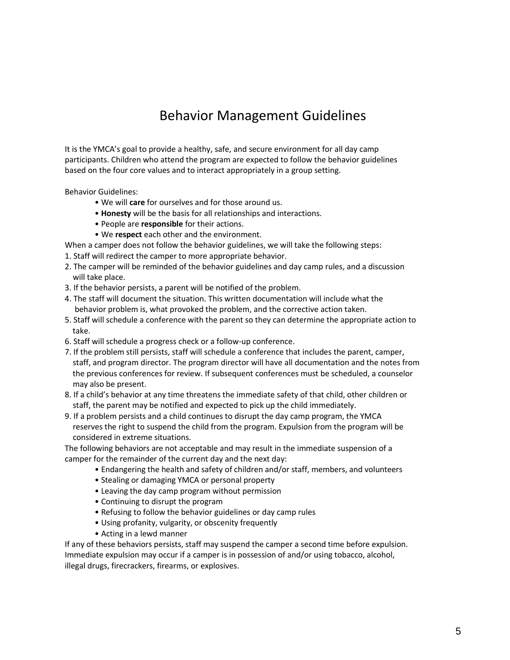## Behavior Management Guidelines

It is the YMCA's goal to provide a healthy, safe, and secure environment for all day camp participants. Children who attend the program are expected to follow the behavior guidelines based on the four core values and to interact appropriately in a group setting.

Behavior Guidelines:

- We will **care** for ourselves and for those around us.
- **Honesty** will be the basis for all relationships and interactions.
- People are **responsible** for their actions.
- We **respect** each other and the environment.
- When a camper does not follow the behavior guidelines, we will take the following steps:
- 1. Staff will redirect the camper to more appropriate behavior.
- 2. The camper will be reminded of the behavior guidelines and day camp rules, and a discussion will take place.
- 3. If the behavior persists, a parent will be notified of the problem.
- 4. The staff will document the situation. This written documentation will include what the behavior problem is, what provoked the problem, and the corrective action taken.
- 5. Staff will schedule a conference with the parent so they can determine the appropriate action to take.
- 6. Staff will schedule a progress check or a follow-up conference.
- 7. If the problem still persists, staff will schedule a conference that includes the parent, camper, staff, and program director. The program director will have all documentation and the notes from the previous conferences for review. If subsequent conferences must be scheduled, a counselor may also be present.
- 8. If a child's behavior at any time threatens the immediate safety of that child, other children or staff, the parent may be notified and expected to pick up the child immediately.
- 9. If a problem persists and a child continues to disrupt the day camp program, the YMCA reserves the right to suspend the child from the program. Expulsion from the program will be considered in extreme situations.

The following behaviors are not acceptable and may result in the immediate suspension of a camper for the remainder of the current day and the next day:

- Endangering the health and safety of children and/or staff, members, and volunteers
- Stealing or damaging YMCA or personal property
- Leaving the day camp program without permission
- Continuing to disrupt the program
- Refusing to follow the behavior guidelines or day camp rules
- Using profanity, vulgarity, or obscenity frequently
- Acting in a lewd manner

If any of these behaviors persists, staff may suspend the camper a second time before expulsion. Immediate expulsion may occur if a camper is in possession of and/or using tobacco, alcohol, illegal drugs, firecrackers, firearms, or explosives.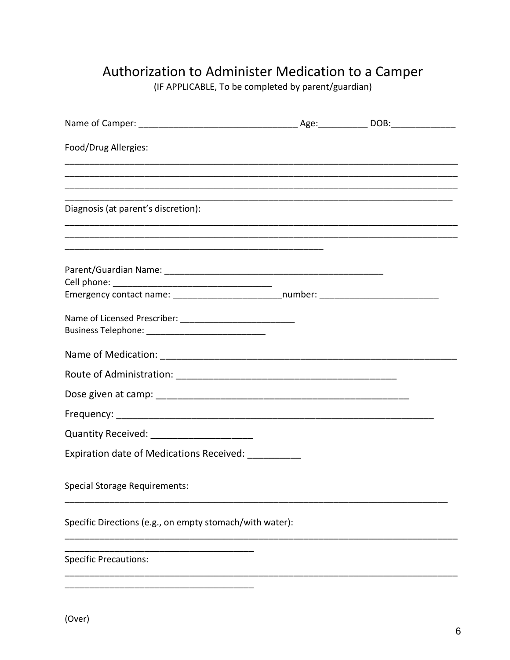## Authorization to Administer Medication to a Camper

(IF APPLICABLE, To be completed by parent/guardian)

| Food/Drug Allergies:                                                                                                                                         |  |  |
|--------------------------------------------------------------------------------------------------------------------------------------------------------------|--|--|
|                                                                                                                                                              |  |  |
| Diagnosis (at parent's discretion):<br><u> 1989 - Johann Stoff, deutscher Stoff, der Stoff, der Stoff, der Stoff, der Stoff, der Stoff, der Stoff, der S</u> |  |  |
|                                                                                                                                                              |  |  |
|                                                                                                                                                              |  |  |
| Emergency contact name: __________________________number: ______________________                                                                             |  |  |
|                                                                                                                                                              |  |  |
|                                                                                                                                                              |  |  |
|                                                                                                                                                              |  |  |
|                                                                                                                                                              |  |  |
|                                                                                                                                                              |  |  |
| Quantity Received: _____________________                                                                                                                     |  |  |
| Expiration date of Medications Received: __________                                                                                                          |  |  |
| <b>Special Storage Requirements:</b>                                                                                                                         |  |  |
| Specific Directions (e.g., on empty stomach/with water):                                                                                                     |  |  |
| <b>Specific Precautions:</b>                                                                                                                                 |  |  |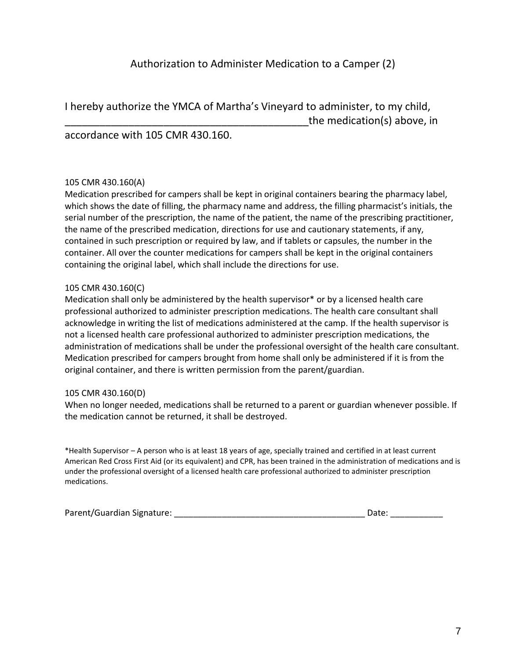I hereby authorize the YMCA of Martha's Vineyard to administer, to my child, the medication(s) above, in

accordance with 105 CMR 430.160.

#### 105 CMR 430.160(A)

Medication prescribed for campers shall be kept in original containers bearing the pharmacy label, which shows the date of filling, the pharmacy name and address, the filling pharmacist's initials, the serial number of the prescription, the name of the patient, the name of the prescribing practitioner, the name of the prescribed medication, directions for use and cautionary statements, if any, contained in such prescription or required by law, and if tablets or capsules, the number in the container. All over the counter medications for campers shall be kept in the original containers containing the original label, which shall include the directions for use.

#### 105 CMR 430.160(C)

Medication shall only be administered by the health supervisor\* or by a licensed health care professional authorized to administer prescription medications. The health care consultant shall acknowledge in writing the list of medications administered at the camp. If the health supervisor is not a licensed health care professional authorized to administer prescription medications, the administration of medications shall be under the professional oversight of the health care consultant. Medication prescribed for campers brought from home shall only be administered if it is from the original container, and there is written permission from the parent/guardian.

#### 105 CMR 430.160(D)

When no longer needed, medications shall be returned to a parent or guardian whenever possible. If the medication cannot be returned, it shall be destroyed.

\*Health Supervisor – A person who is at least 18 years of age, specially trained and certified in at least current American Red Cross First Aid (or its equivalent) and CPR, has been trained in the administration of medications and is under the professional oversight of a licensed health care professional authorized to administer prescription medications.

| Parent/Guardian Signature: | Date: |  |
|----------------------------|-------|--|
|                            |       |  |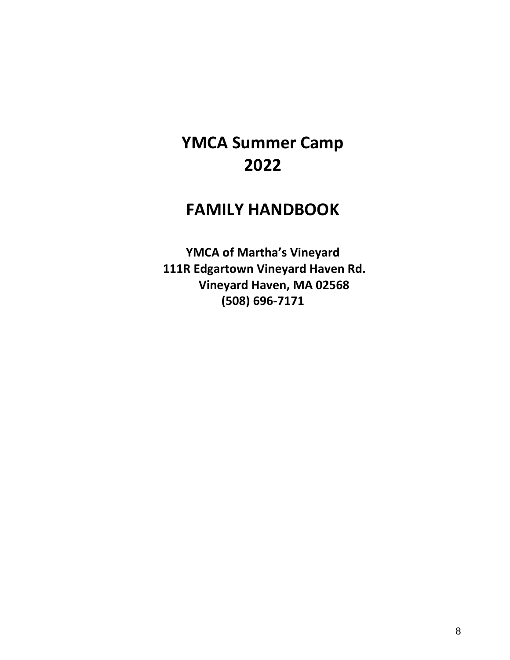## **YMCA Summer Camp 2022**

## **FAMILY HANDBOOK**

**YMCA of Martha's Vineyard 111R Edgartown Vineyard Haven Rd. Vineyard Haven, MA 02568 (508) 696-7171**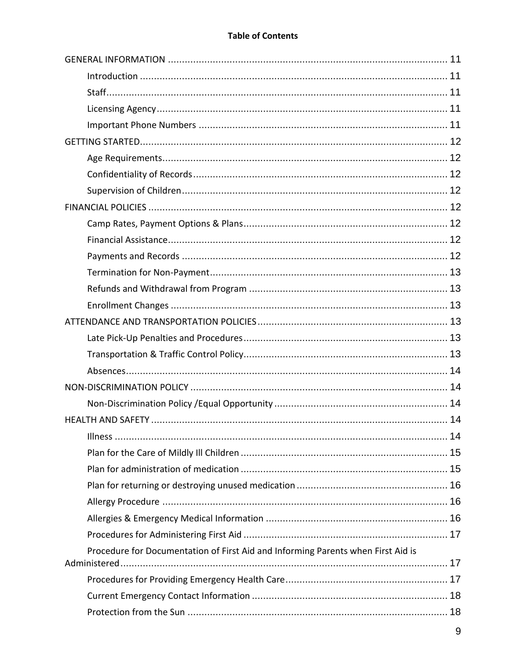#### **Table of Contents**

| Procedure for Documentation of First Aid and Informing Parents when First Aid is |  |
|----------------------------------------------------------------------------------|--|
|                                                                                  |  |
|                                                                                  |  |
|                                                                                  |  |
|                                                                                  |  |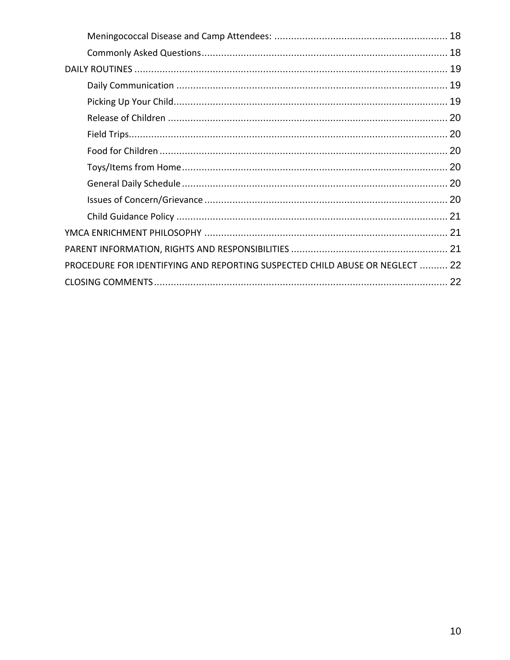| PROCEDURE FOR IDENTIFYING AND REPORTING SUSPECTED CHILD ABUSE OR NEGLECT  22 |  |
|------------------------------------------------------------------------------|--|
|                                                                              |  |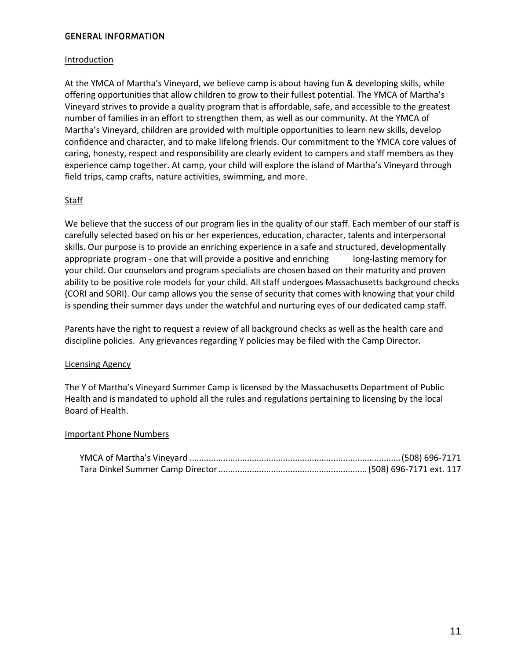#### <span id="page-10-0"></span>**GENERAL INFORMATION**

#### <span id="page-10-1"></span>**Introduction**

At the YMCA of Martha's Vineyard, we believe camp is about having fun & developing skills, while offering opportunities that allow children to grow to their fullest potential. The YMCA of Martha's Vineyard strives to provide a quality program that is affordable, safe, and accessible to the greatest number of families in an effort to strengthen them, as well as our community. At the YMCA of Martha's Vineyard, children are provided with multiple opportunities to learn new skills, develop confidence and character, and to make lifelong friends. Our commitment to the YMCA core values of caring, honesty, respect and responsibility are clearly evident to campers and staff members as they experience camp together. At camp, your child will explore the island of Martha's Vineyard through field trips, camp crafts, nature activities, swimming, and more.

#### <span id="page-10-2"></span>**Staff**

We believe that the success of our program lies in the quality of our staff. Each member of our staff is carefully selected based on his or her experiences, education, character, talents and interpersonal skills. Our purpose is to provide an enriching experience in a safe and structured, developmentally appropriate program - one that will provide a positive and enriching long-lasting memory for your child. Our counselors and program specialists are chosen based on their maturity and proven ability to be positive role models for your child. All staff undergoes Massachusetts background checks (CORI and SORI). Our camp allows you the sense of security that comes with knowing that your child is spending their summer days under the watchful and nurturing eyes of our dedicated camp staff.

Parents have the right to request a review of all background checks as well as the health care and discipline policies. Any grievances regarding Y policies may be filed with the Camp Director.

#### <span id="page-10-3"></span>Licensing Agency

The Y of Martha's Vineyard Summer Camp is licensed by the Massachusetts Department of Public Health and is mandated to uphold all the rules and regulations pertaining to licensing by the local Board of Health.

#### <span id="page-10-4"></span>Important Phone Numbers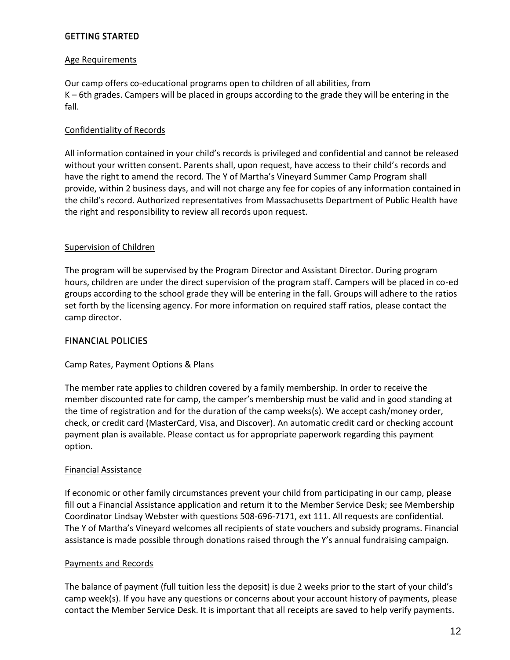#### <span id="page-11-0"></span>**GETTING STARTED**

#### <span id="page-11-1"></span>Age Requirements

Our camp offers co-educational programs open to children of all abilities, from K – 6th grades. Campers will be placed in groups according to the grade they will be entering in the fall.

#### <span id="page-11-2"></span>Confidentiality of Records

All information contained in your child's records is privileged and confidential and cannot be released without your written consent. Parents shall, upon request, have access to their child's records and have the right to amend the record. The Y of Martha's Vineyard Summer Camp Program shall provide, within 2 business days, and will not charge any fee for copies of any information contained in the child's record. Authorized representatives from Massachusetts Department of Public Health have the right and responsibility to review all records upon request.

#### <span id="page-11-3"></span>Supervision of Children

The program will be supervised by the Program Director and Assistant Director. During program hours, children are under the direct supervision of the program staff. Campers will be placed in co-ed groups according to the school grade they will be entering in the fall. Groups will adhere to the ratios set forth by the licensing agency. For more information on required staff ratios, please contact the camp director.

#### <span id="page-11-4"></span>**FINANCIAL POLICIES**

#### <span id="page-11-5"></span>Camp Rates, Payment Options & Plans

The member rate applies to children covered by a family membership. In order to receive the member discounted rate for camp, the camper's membership must be valid and in good standing at the time of registration and for the duration of the camp weeks(s). We accept cash/money order, check, or credit card (MasterCard, Visa, and Discover). An automatic credit card or checking account payment plan is available. Please contact us for appropriate paperwork regarding this payment option.

#### <span id="page-11-6"></span>Financial Assistance

If economic or other family circumstances prevent your child from participating in our camp, please fill out a Financial Assistance application and return it to the Member Service Desk; see Membership Coordinator Lindsay Webster with questions 508-696-7171, ext 111. All requests are confidential. The Y of Martha's Vineyard welcomes all recipients of state vouchers and subsidy programs. Financial assistance is made possible through donations raised through the Y's annual fundraising campaign.

#### <span id="page-11-7"></span>Payments and Records

The balance of payment (full tuition less the deposit) is due 2 weeks prior to the start of your child's camp week(s). If you have any questions or concerns about your account history of payments, please contact the Member Service Desk. It is important that all receipts are saved to help verify payments.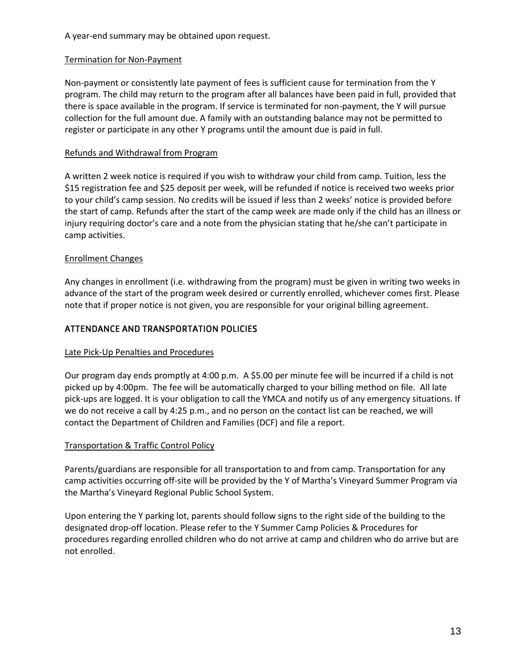A year-end summary may be obtained upon request.

#### <span id="page-12-0"></span>Termination for Non-Payment

Non-payment or consistently late payment of fees is sufficient cause for termination from the Y program. The child may return to the program after all balances have been paid in full, provided that there is space available in the program. If service is terminated for non-payment, the Y will pursue collection for the full amount due. A family with an outstanding balance may not be permitted to register or participate in any other Y programs until the amount due is paid in full.

#### <span id="page-12-1"></span>Refunds and Withdrawal from Program

A written 2 week notice is required if you wish to withdraw your child from camp. Tuition, less the \$15 registration fee and \$25 deposit per week, will be refunded if notice is received two weeks prior to your child's camp session. No credits will be issued if less than 2 weeks' notice is provided before the start of camp. Refunds after the start of the camp week are made only if the child has an illness or injury requiring doctor's care and a note from the physician stating that he/she can't participate in camp activities.

#### <span id="page-12-2"></span>Enrollment Changes

Any changes in enrollment (i.e. withdrawing from the program) must be given in writing two weeks in advance of the start of the program week desired or currently enrolled, whichever comes first. Please note that if proper notice is not given, you are responsible for your original billing agreement.

#### <span id="page-12-3"></span>ATTENDANCE AND TRANSPORTATION POLICIES

#### <span id="page-12-4"></span>Late Pick-Up Penalties and Procedures

Our program day ends promptly at 4:00 p.m. A \$5.00 per minute fee will be incurred if a child is not picked up by 4:00pm. The fee will be automatically charged to your billing method on file. All late pick-ups are logged. It is your obligation to call the YMCA and notify us of any emergency situations. If we do not receive a call by 4:25 p.m., and no person on the contact list can be reached, we will contact the Department of Children and Families (DCF) and file a report.

#### <span id="page-12-5"></span>Transportation & Traffic Control Policy

Parents/guardians are responsible for all transportation to and from camp. Transportation for any camp activities occurring off-site will be provided by the Y of Martha's Vineyard Summer Program via the Martha's Vineyard Regional Public School System.

Upon entering the Y parking lot, parents should follow signs to the right side of the building to the designated drop-off location. Please refer to the Y Summer Camp Policies & Procedures for procedures regarding enrolled children who do not arrive at camp and children who do arrive but are not enrolled.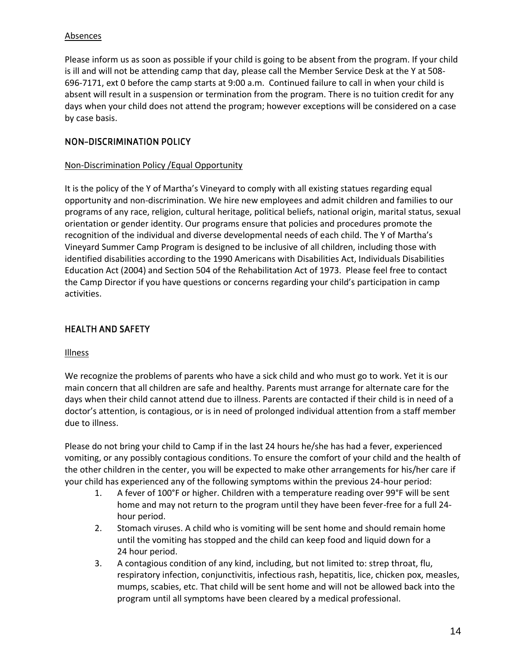#### <span id="page-13-0"></span>**Absences**

Please inform us as soon as possible if your child is going to be absent from the program. If your child is ill and will not be attending camp that day, please call the Member Service Desk at the Y at 508- 696-7171, ext 0 before the camp starts at 9:00 a.m. Continued failure to call in when your child is absent will result in a suspension or termination from the program. There is no tuition credit for any days when your child does not attend the program; however exceptions will be considered on a case by case basis.

#### <span id="page-13-1"></span>**NON-DISCRIMINATION POLICY**

#### <span id="page-13-2"></span>Non-Discrimination Policy /Equal Opportunity

It is the policy of the Y of Martha's Vineyard to comply with all existing statues regarding equal opportunity and non-discrimination. We hire new employees and admit children and families to our programs of any race, religion, cultural heritage, political beliefs, national origin, marital status, sexual orientation or gender identity. Our programs ensure that policies and procedures promote the recognition of the individual and diverse developmental needs of each child. The Y of Martha's Vineyard Summer Camp Program is designed to be inclusive of all children, including those with identified disabilities according to the 1990 Americans with Disabilities Act, Individuals Disabilities Education Act (2004) and Section 504 of the Rehabilitation Act of 1973. Please feel free to contact the Camp Director if you have questions or concerns regarding your child's participation in camp activities.

#### <span id="page-13-3"></span>**HEALTH AND SAFETY**

#### <span id="page-13-4"></span>Illness

We recognize the problems of parents who have a sick child and who must go to work. Yet it is our main concern that all children are safe and healthy. Parents must arrange for alternate care for the days when their child cannot attend due to illness. Parents are contacted if their child is in need of a doctor's attention, is contagious, or is in need of prolonged individual attention from a staff member due to illness.

Please do not bring your child to Camp if in the last 24 hours he/she has had a fever, experienced vomiting, or any possibly contagious conditions. To ensure the comfort of your child and the health of the other children in the center, you will be expected to make other arrangements for his/her care if your child has experienced any of the following symptoms within the previous 24-hour period:

- 1. A fever of 100°F or higher. Children with a temperature reading over 99°F will be sent home and may not return to the program until they have been fever-free for a full 24 hour period.
- 2. Stomach viruses. A child who is vomiting will be sent home and should remain home until the vomiting has stopped and the child can keep food and liquid down for a 24 hour period.
- 3. A contagious condition of any kind, including, but not limited to: strep throat, flu, respiratory infection, conjunctivitis, infectious rash, hepatitis, lice, chicken pox, measles, mumps, scabies, etc. That child will be sent home and will not be allowed back into the program until all symptoms have been cleared by a medical professional.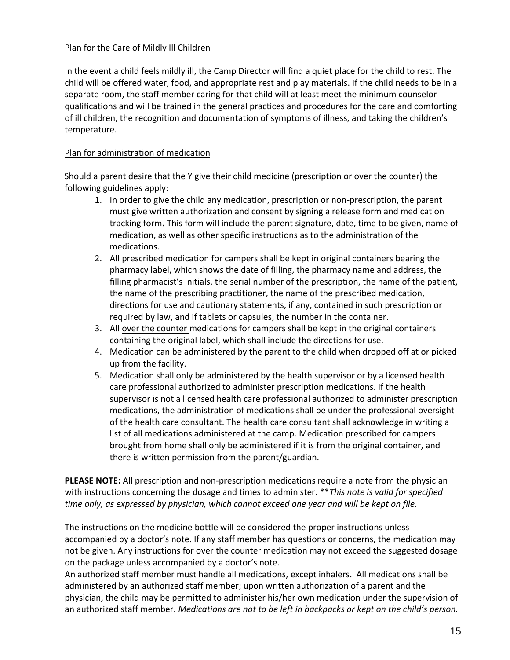#### <span id="page-14-0"></span>Plan for the Care of Mildly Ill Children

In the event a child feels mildly ill, the Camp Director will find a quiet place for the child to rest. The child will be offered water, food, and appropriate rest and play materials. If the child needs to be in a separate room, the staff member caring for that child will at least meet the minimum counselor qualifications and will be trained in the general practices and procedures for the care and comforting of ill children, the recognition and documentation of symptoms of illness, and taking the children's temperature.

#### <span id="page-14-1"></span>Plan for administration of medication

Should a parent desire that the Y give their child medicine (prescription or over the counter) the following guidelines apply:

- 1. In order to give the child any medication, prescription or non-prescription, the parent must give written authorization and consent by signing a release form and medication tracking form**.** This form will include the parent signature, date, time to be given, name of medication, as well as other specific instructions as to the administration of the medications.
- 2. All prescribed medication for campers shall be kept in original containers bearing the pharmacy label, which shows the date of filling, the pharmacy name and address, the filling pharmacist's initials, the serial number of the prescription, the name of the patient, the name of the prescribing practitioner, the name of the prescribed medication, directions for use and cautionary statements, if any, contained in such prescription or required by law, and if tablets or capsules, the number in the container.
- 3. All over the counter medications for campers shall be kept in the original containers containing the original label, which shall include the directions for use.
- 4. Medication can be administered by the parent to the child when dropped off at or picked up from the facility.
- 5. Medication shall only be administered by the health supervisor or by a licensed health care professional authorized to administer prescription medications. If the health supervisor is not a licensed health care professional authorized to administer prescription medications, the administration of medications shall be under the professional oversight of the health care consultant. The health care consultant shall acknowledge in writing a list of all medications administered at the camp. Medication prescribed for campers brought from home shall only be administered if it is from the original container, and there is written permission from the parent/guardian.

**PLEASE NOTE:** All prescription and non-prescription medications require a note from the physician with instructions concerning the dosage and times to administer. \*\**This note is valid for specified time only, as expressed by physician, which cannot exceed one year and will be kept on file.* 

The instructions on the medicine bottle will be considered the proper instructions unless accompanied by a doctor's note. If any staff member has questions or concerns, the medication may not be given. Any instructions for over the counter medication may not exceed the suggested dosage on the package unless accompanied by a doctor's note.

An authorized staff member must handle all medications, except inhalers. All medications shall be administered by an authorized staff member; upon written authorization of a parent and the physician, the child may be permitted to administer his/her own medication under the supervision of an authorized staff member. *Medications are not to be left in backpacks or kept on the child's person.*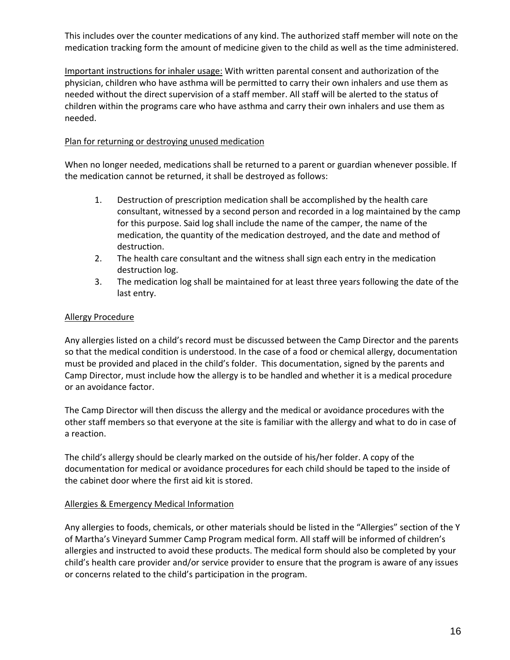This includes over the counter medications of any kind. The authorized staff member will note on the medication tracking form the amount of medicine given to the child as well as the time administered.

Important instructions for inhaler usage: With written parental consent and authorization of the physician, children who have asthma will be permitted to carry their own inhalers and use them as needed without the direct supervision of a staff member. All staff will be alerted to the status of children within the programs care who have asthma and carry their own inhalers and use them as needed.

#### <span id="page-15-0"></span>Plan for returning or destroying unused medication

When no longer needed, medications shall be returned to a parent or guardian whenever possible. If the medication cannot be returned, it shall be destroyed as follows:

- 1. Destruction of prescription medication shall be accomplished by the health care consultant, witnessed by a second person and recorded in a log maintained by the camp for this purpose. Said log shall include the name of the camper, the name of the medication, the quantity of the medication destroyed, and the date and method of destruction.
- 2. The health care consultant and the witness shall sign each entry in the medication destruction log.
- 3. The medication log shall be maintained for at least three years following the date of the last entry.

#### <span id="page-15-1"></span>Allergy Procedure

Any allergies listed on a child's record must be discussed between the Camp Director and the parents so that the medical condition is understood. In the case of a food or chemical allergy, documentation must be provided and placed in the child's folder. This documentation, signed by the parents and Camp Director, must include how the allergy is to be handled and whether it is a medical procedure or an avoidance factor.

The Camp Director will then discuss the allergy and the medical or avoidance procedures with the other staff members so that everyone at the site is familiar with the allergy and what to do in case of a reaction.

The child's allergy should be clearly marked on the outside of his/her folder. A copy of the documentation for medical or avoidance procedures for each child should be taped to the inside of the cabinet door where the first aid kit is stored.

#### <span id="page-15-2"></span>Allergies & Emergency Medical Information

Any allergies to foods, chemicals, or other materials should be listed in the "Allergies" section of the Y of Martha's Vineyard Summer Camp Program medical form. All staff will be informed of children's allergies and instructed to avoid these products. The medical form should also be completed by your child's health care provider and/or service provider to ensure that the program is aware of any issues or concerns related to the child's participation in the program.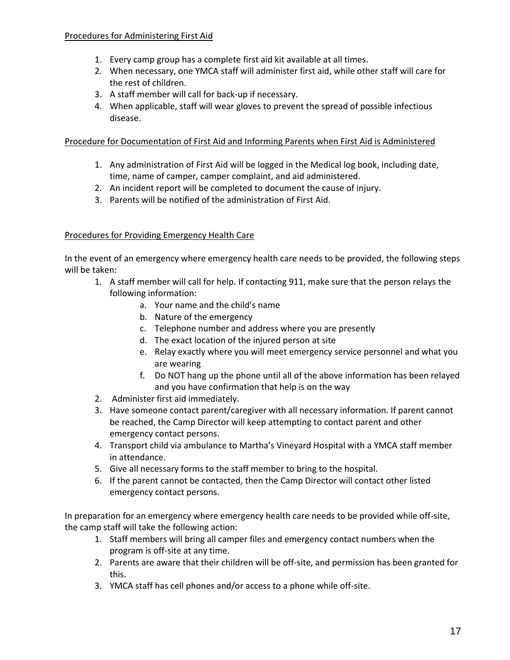#### <span id="page-16-0"></span>Procedures for Administering First Aid

- 1. Every camp group has a complete first aid kit available at all times.
- 2. When necessary, one YMCA staff will administer first aid, while other staff will care for the rest of children.
- 3. A staff member will call for back-up if necessary.
- 4. When applicable, staff will wear gloves to prevent the spread of possible infectious disease.

#### <span id="page-16-1"></span>Procedure for Documentation of First Aid and Informing Parents when First Aid is Administered

- 1. Any administration of First Aid will be logged in the Medical log book, including date, time, name of camper, camper complaint, and aid administered.
- 2. An incident report will be completed to document the cause of injury.
- 3. Parents will be notified of the administration of First Aid.

#### <span id="page-16-2"></span>Procedures for Providing Emergency Health Care

In the event of an emergency where emergency health care needs to be provided, the following steps will be taken:

- 1. A staff member will call for help. If contacting 911, make sure that the person relays the following information:
	- a. Your name and the child's name
	- b. Nature of the emergency
	- c. Telephone number and address where you are presently
	- d. The exact location of the injured person at site
	- e. Relay exactly where you will meet emergency service personnel and what you are wearing
	- f. Do NOT hang up the phone until all of the above information has been relayed and you have confirmation that help is on the way
- 2. Administer first aid immediately.
- 3. Have someone contact parent/caregiver with all necessary information. If parent cannot be reached, the Camp Director will keep attempting to contact parent and other emergency contact persons.
- 4. Transport child via ambulance to Martha's Vineyard Hospital with a YMCA staff member in attendance.
- 5. Give all necessary forms to the staff member to bring to the hospital.
- 6. If the parent cannot be contacted, then the Camp Director will contact other listed emergency contact persons.

In preparation for an emergency where emergency health care needs to be provided while off-site, the camp staff will take the following action:

- 1. Staff members will bring all camper files and emergency contact numbers when the program is off-site at any time.
- 2. Parents are aware that their children will be off-site, and permission has been granted for this.
- 3. YMCA staff has cell phones and/or access to a phone while off-site.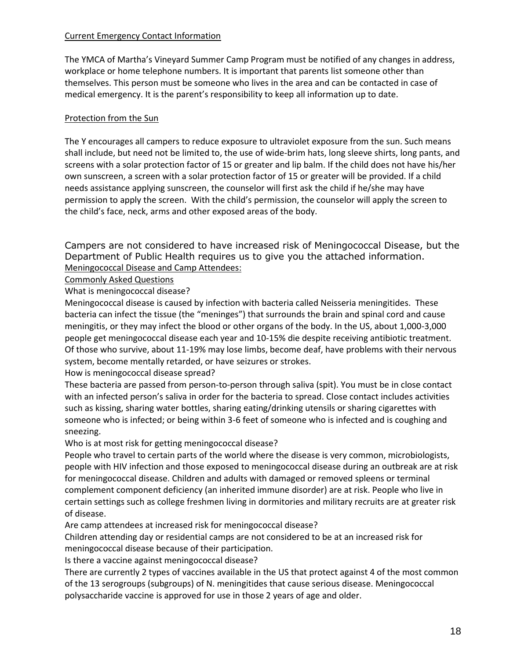#### <span id="page-17-0"></span>Current Emergency Contact Information

The YMCA of Martha's Vineyard Summer Camp Program must be notified of any changes in address, workplace or home telephone numbers. It is important that parents list someone other than themselves. This person must be someone who lives in the area and can be contacted in case of medical emergency. It is the parent's responsibility to keep all information up to date.

#### <span id="page-17-1"></span>Protection from the Sun

The Y encourages all campers to reduce exposure to ultraviolet exposure from the sun. Such means shall include, but need not be limited to, the use of wide-brim hats, long sleeve shirts, long pants, and screens with a solar protection factor of 15 or greater and lip balm. If the child does not have his/her own sunscreen, a screen with a solar protection factor of 15 or greater will be provided. If a child needs assistance applying sunscreen, the counselor will first ask the child if he/she may have permission to apply the screen. With the child's permission, the counselor will apply the screen to the child's face, neck, arms and other exposed areas of the body.

Campers are not considered to have increased risk of Meningococcal Disease, but the Department of Public Health requires us to give you the attached information. Meningococcal Disease and Camp Attendees:

<span id="page-17-3"></span><span id="page-17-2"></span>Commonly Asked Questions

What is meningococcal disease?

Meningococcal disease is caused by infection with bacteria called Neisseria meningitides. These bacteria can infect the tissue (the "meninges") that surrounds the brain and spinal cord and cause meningitis, or they may infect the blood or other organs of the body. In the US, about 1,000-3,000 people get meningococcal disease each year and 10-15% die despite receiving antibiotic treatment. Of those who survive, about 11-19% may lose limbs, become deaf, have problems with their nervous system, become mentally retarded, or have seizures or strokes.

How is meningococcal disease spread?

These bacteria are passed from person-to-person through saliva (spit). You must be in close contact with an infected person's saliva in order for the bacteria to spread. Close contact includes activities such as kissing, sharing water bottles, sharing eating/drinking utensils or sharing cigarettes with someone who is infected; or being within 3-6 feet of someone who is infected and is coughing and sneezing.

Who is at most risk for getting meningococcal disease?

People who travel to certain parts of the world where the disease is very common, microbiologists, people with HIV infection and those exposed to meningococcal disease during an outbreak are at risk for meningococcal disease. Children and adults with damaged or removed spleens or terminal complement component deficiency (an inherited immune disorder) are at risk. People who live in certain settings such as college freshmen living in dormitories and military recruits are at greater risk of disease.

Are camp attendees at increased risk for meningococcal disease?

Children attending day or residential camps are not considered to be at an increased risk for meningococcal disease because of their participation.

Is there a vaccine against meningococcal disease?

There are currently 2 types of vaccines available in the US that protect against 4 of the most common of the 13 serogroups (subgroups) of N. meningitides that cause serious disease. Meningococcal polysaccharide vaccine is approved for use in those 2 years of age and older.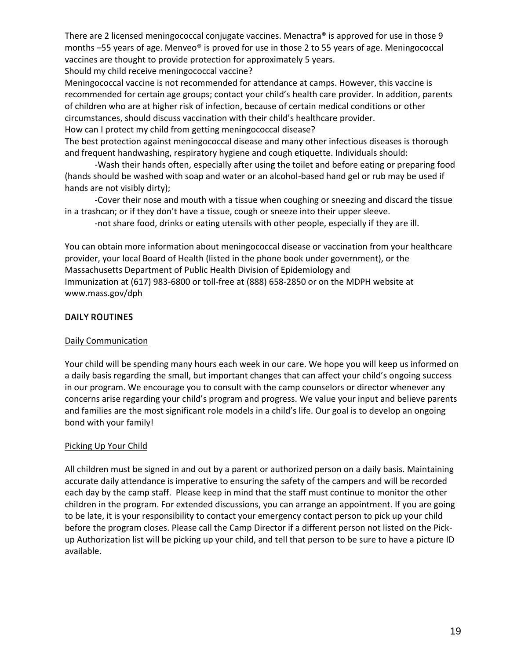There are 2 licensed meningococcal conjugate vaccines. Menactra® is approved for use in those 9 months –55 years of age. Menveo® is proved for use in those 2 to 55 years of age. Meningococcal vaccines are thought to provide protection for approximately 5 years.

Should my child receive meningococcal vaccine?

Meningococcal vaccine is not recommended for attendance at camps. However, this vaccine is recommended for certain age groups; contact your child's health care provider. In addition, parents of children who are at higher risk of infection, because of certain medical conditions or other circumstances, should discuss vaccination with their child's healthcare provider.

How can I protect my child from getting meningococcal disease?

The best protection against meningococcal disease and many other infectious diseases is thorough and frequent handwashing, respiratory hygiene and cough etiquette. Individuals should:

-Wash their hands often, especially after using the toilet and before eating or preparing food (hands should be washed with soap and water or an alcohol-based hand gel or rub may be used if hands are not visibly dirty);

-Cover their nose and mouth with a tissue when coughing or sneezing and discard the tissue in a trashcan; or if they don't have a tissue, cough or sneeze into their upper sleeve.

-not share food, drinks or eating utensils with other people, especially if they are ill.

You can obtain more information about meningococcal disease or vaccination from your healthcare provider, your local Board of Health (listed in the phone book under government), or the Massachusetts Department of Public Health Division of Epidemiology and Immunization at (617) 983-6800 or toll-free at (888) 658-2850 or on the MDPH website at www.mass.gov/dph

#### <span id="page-18-0"></span>**DAILY ROUTINES**

#### <span id="page-18-1"></span>Daily Communication

Your child will be spending many hours each week in our care. We hope you will keep us informed on a daily basis regarding the small, but important changes that can affect your child's ongoing success in our program. We encourage you to consult with the camp counselors or director whenever any concerns arise regarding your child's program and progress. We value your input and believe parents and families are the most significant role models in a child's life. Our goal is to develop an ongoing bond with your family!

#### <span id="page-18-2"></span>Picking Up Your Child

All children must be signed in and out by a parent or authorized person on a daily basis. Maintaining accurate daily attendance is imperative to ensuring the safety of the campers and will be recorded each day by the camp staff. Please keep in mind that the staff must continue to monitor the other children in the program. For extended discussions, you can arrange an appointment. If you are going to be late, it is your responsibility to contact your emergency contact person to pick up your child before the program closes. Please call the Camp Director if a different person not listed on the Pickup Authorization list will be picking up your child, and tell that person to be sure to have a picture ID available.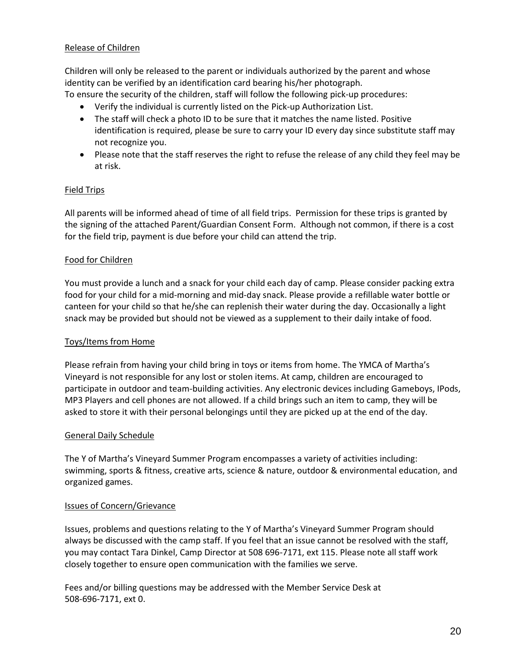#### <span id="page-19-0"></span>Release of Children

Children will only be released to the parent or individuals authorized by the parent and whose identity can be verified by an identification card bearing his/her photograph.

To ensure the security of the children, staff will follow the following pick-up procedures:

- Verify the individual is currently listed on the Pick-up Authorization List.
- The staff will check a photo ID to be sure that it matches the name listed. Positive identification is required, please be sure to carry your ID every day since substitute staff may not recognize you.
- Please note that the staff reserves the right to refuse the release of any child they feel may be at risk.

#### <span id="page-19-1"></span>Field Trips

All parents will be informed ahead of time of all field trips. Permission for these trips is granted by the signing of the attached Parent/Guardian Consent Form. Although not common, if there is a cost for the field trip, payment is due before your child can attend the trip.

#### <span id="page-19-2"></span>Food for Children

You must provide a lunch and a snack for your child each day of camp. Please consider packing extra food for your child for a mid-morning and mid-day snack. Please provide a refillable water bottle or canteen for your child so that he/she can replenish their water during the day. Occasionally a light snack may be provided but should not be viewed as a supplement to their daily intake of food.

#### <span id="page-19-3"></span>Toys/Items from Home

Please refrain from having your child bring in toys or items from home. The YMCA of Martha's Vineyard is not responsible for any lost or stolen items. At camp, children are encouraged to participate in outdoor and team-building activities. Any electronic devices including Gameboys, IPods, MP3 Players and cell phones are not allowed. If a child brings such an item to camp, they will be asked to store it with their personal belongings until they are picked up at the end of the day.

#### <span id="page-19-4"></span>General Daily Schedule

The Y of Martha's Vineyard Summer Program encompasses a variety of activities including: swimming, sports & fitness, creative arts, science & nature, outdoor & environmental education, and organized games.

#### <span id="page-19-5"></span>Issues of Concern/Grievance

Issues, problems and questions relating to the Y of Martha's Vineyard Summer Program should always be discussed with the camp staff. If you feel that an issue cannot be resolved with the staff, you may contact Tara Dinkel, Camp Director at 508 696-7171, ext 115. Please note all staff work closely together to ensure open communication with the families we serve.

Fees and/or billing questions may be addressed with the Member Service Desk at 508-696-7171, ext 0.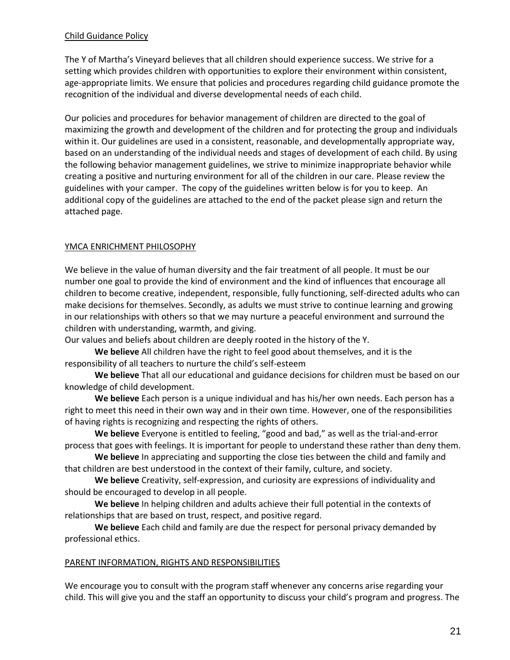#### <span id="page-20-0"></span>Child Guidance Policy

The Y of Martha's Vineyard believes that all children should experience success. We strive for a setting which provides children with opportunities to explore their environment within consistent, age-appropriate limits. We ensure that policies and procedures regarding child guidance promote the recognition of the individual and diverse developmental needs of each child.

Our policies and procedures for behavior management of children are directed to the goal of maximizing the growth and development of the children and for protecting the group and individuals within it. Our guidelines are used in a consistent, reasonable, and developmentally appropriate way, based on an understanding of the individual needs and stages of development of each child. By using the following behavior management guidelines, we strive to minimize inappropriate behavior while creating a positive and nurturing environment for all of the children in our care. Please review the guidelines with your camper. The copy of the guidelines written below is for you to keep. An additional copy of the guidelines are attached to the end of the packet please sign and return the attached page.

#### <span id="page-20-1"></span>YMCA ENRICHMENT PHILOSOPHY

We believe in the value of human diversity and the fair treatment of all people. It must be our number one goal to provide the kind of environment and the kind of influences that encourage all children to become creative, independent, responsible, fully functioning, self-directed adults who can make decisions for themselves. Secondly, as adults we must strive to continue learning and growing in our relationships with others so that we may nurture a peaceful environment and surround the children with understanding, warmth, and giving.

Our values and beliefs about children are deeply rooted in the history of the Y.

**We believe** All children have the right to feel good about themselves, and it is the responsibility of all teachers to nurture the child's self-esteem

**We believe** That all our educational and guidance decisions for children must be based on our knowledge of child development.

**We believe** Each person is a unique individual and has his/her own needs. Each person has a right to meet this need in their own way and in their own time. However, one of the responsibilities of having rights is recognizing and respecting the rights of others.

**We believe** Everyone is entitled to feeling, "good and bad," as well as the trial-and-error process that goes with feelings. It is important for people to understand these rather than deny them.

**We believe** In appreciating and supporting the close ties between the child and family and that children are best understood in the context of their family, culture, and society.

**We believe** Creativity, self-expression, and curiosity are expressions of individuality and should be encouraged to develop in all people.

**We believe** In helping children and adults achieve their full potential in the contexts of relationships that are based on trust, respect, and positive regard.

**We believe** Each child and family are due the respect for personal privacy demanded by professional ethics.

#### <span id="page-20-2"></span>PARENT INFORMATION, RIGHTS AND RESPONSIBILITIES

We encourage you to consult with the program staff whenever any concerns arise regarding your child. This will give you and the staff an opportunity to discuss your child's program and progress. The